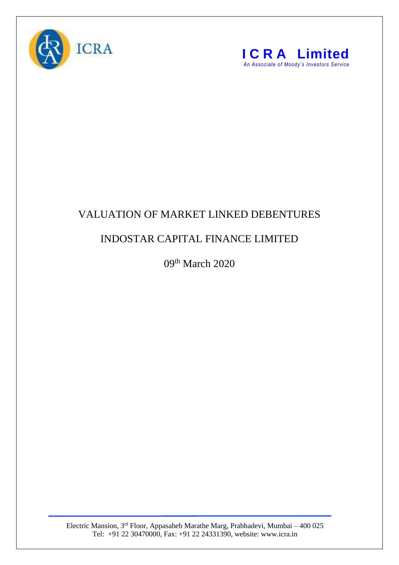



## VALUATION OF MARKET LINKED DEBENTURES

## INDOSTAR CAPITAL FINANCE LIMITED

09<sup>th</sup> March 2020

Electric Mansion, 3<sup>rd</sup> Floor, Appasaheb Marathe Marg, Prabhadevi, Mumbai – 400 025 Tel: +91 22 30470000, Fax: +91 22 24331390, website: www.icra.in